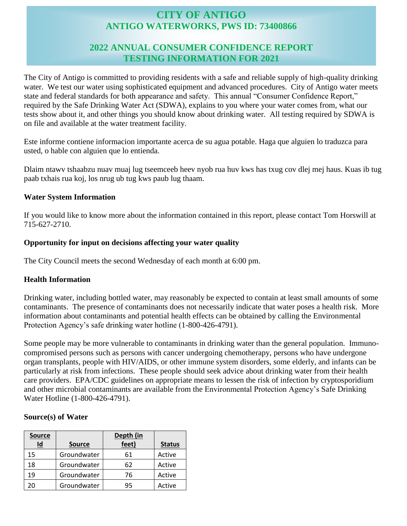# **CITY OF ANTIGO ANTIGO WATERWORKS, PWS ID: 73400866**

## **2022 ANNUAL CONSUMER CONFIDENCE REPORT TESTING INFORMATION FOR 2021**

The City of Antigo is committed to providing residents with a safe and reliable supply of high-quality drinking water. We test our water using sophisticated equipment and advanced procedures. City of Antigo water meets state and federal standards for both appearance and safety. This annual "Consumer Confidence Report," required by the Safe Drinking Water Act (SDWA), explains to you where your water comes from, what our tests show about it, and other things you should know about drinking water. All testing required by SDWA is on file and available at the water treatment facility.

Este informe contiene informacion importante acerca de su agua potable. Haga que alguien lo traduzca para usted, o hable con alguien que lo entienda.

Dlaim ntawv tshaabzu nuav muaj lug tseemceeb heev nyob rua huv kws has txug cov dlej mej haus. Kuas ib tug paab txhais rua koj, los nrug ub tug kws paub lug thaam.

### **Water System Information**

If you would like to know more about the information contained in this report, please contact Tom Horswill at 715-627-2710.

### **Opportunity for input on decisions affecting your water quality**

The City Council meets the second Wednesday of each month at 6:00 pm.

### **Health Information**

Drinking water, including bottled water, may reasonably be expected to contain at least small amounts of some contaminants. The presence of contaminants does not necessarily indicate that water poses a health risk. More information about contaminants and potential health effects can be obtained by calling the Environmental Protection Agency's safe drinking water hotline (1-800-426-4791).

Some people may be more vulnerable to contaminants in drinking water than the general population. Immunocompromised persons such as persons with cancer undergoing chemotherapy, persons who have undergone organ transplants, people with HIV/AIDS, or other immune system disorders, some elderly, and infants can be particularly at risk from infections. These people should seek advice about drinking water from their health care providers. EPA/CDC guidelines on appropriate means to lessen the risk of infection by cryptosporidium and other microbial contaminants are available from the Environmental Protection Agency's Safe Drinking Water Hotline (1-800-426-4791).

### **Source(s) of Water**

| <b>Source</b><br>$\underline{\mathsf{Id}}$ | <b>Source</b> | Depth (in<br>feet) | <b>Status</b> |
|--------------------------------------------|---------------|--------------------|---------------|
| 15                                         | Groundwater   | 61                 | Active        |
| 18                                         | Groundwater   | 62                 | Active        |
| 19                                         | Groundwater   | 76                 | Active        |
| ንበ                                         | Groundwater   | 95                 | Active        |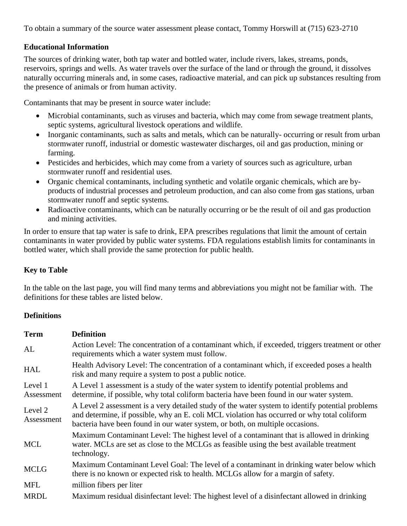To obtain a summary of the source water assessment please contact, Tommy Horswill at (715) 623-2710

### **Educational Information**

The sources of drinking water, both tap water and bottled water, include rivers, lakes, streams, ponds, reservoirs, springs and wells. As water travels over the surface of the land or through the ground, it dissolves naturally occurring minerals and, in some cases, radioactive material, and can pick up substances resulting from the presence of animals or from human activity.

Contaminants that may be present in source water include:

- Microbial contaminants, such as viruses and bacteria, which may come from sewage treatment plants, septic systems, agricultural livestock operations and wildlife.
- Inorganic contaminants, such as salts and metals, which can be naturally-occurring or result from urban stormwater runoff, industrial or domestic wastewater discharges, oil and gas production, mining or farming.
- Pesticides and herbicides, which may come from a variety of sources such as agriculture, urban stormwater runoff and residential uses.
- Organic chemical contaminants, including synthetic and volatile organic chemicals, which are byproducts of industrial processes and petroleum production, and can also come from gas stations, urban stormwater runoff and septic systems.
- Radioactive contaminants, which can be naturally occurring or be the result of oil and gas production and mining activities.

In order to ensure that tap water is safe to drink, EPA prescribes regulations that limit the amount of certain contaminants in water provided by public water systems. FDA regulations establish limits for contaminants in bottled water, which shall provide the same protection for public health.

### **Key to Table**

In the table on the last page, you will find many terms and abbreviations you might not be familiar with. The definitions for these tables are listed below.

### **Definitions**

| <b>Term</b>           | <b>Definition</b>                                                                                                                                                                                                                                                                |
|-----------------------|----------------------------------------------------------------------------------------------------------------------------------------------------------------------------------------------------------------------------------------------------------------------------------|
| AL                    | Action Level: The concentration of a contaminant which, if exceeded, triggers treatment or other<br>requirements which a water system must follow.                                                                                                                               |
| <b>HAL</b>            | Health Advisory Level: The concentration of a contaminant which, if exceeded poses a health<br>risk and many require a system to post a public notice.                                                                                                                           |
| Level 1<br>Assessment | A Level 1 assessment is a study of the water system to identify potential problems and<br>determine, if possible, why total coliform bacteria have been found in our water system.                                                                                               |
| Level 2<br>Assessment | A Level 2 assessment is a very detailed study of the water system to identify potential problems<br>and determine, if possible, why an E. coli MCL violation has occurred or why total coliform<br>bacteria have been found in our water system, or both, on multiple occasions. |
| <b>MCL</b>            | Maximum Contaminant Level: The highest level of a contaminant that is allowed in drinking<br>water. MCLs are set as close to the MCLGs as feasible using the best available treatment<br>technology.                                                                             |
| <b>MCLG</b>           | Maximum Contaminant Level Goal: The level of a contaminant in drinking water below which<br>there is no known or expected risk to health. MCLGs allow for a margin of safety.                                                                                                    |
| <b>MFL</b>            | million fibers per liter                                                                                                                                                                                                                                                         |
| <b>MRDL</b>           | Maximum residual disinfectant level: The highest level of a disinfectant allowed in drinking                                                                                                                                                                                     |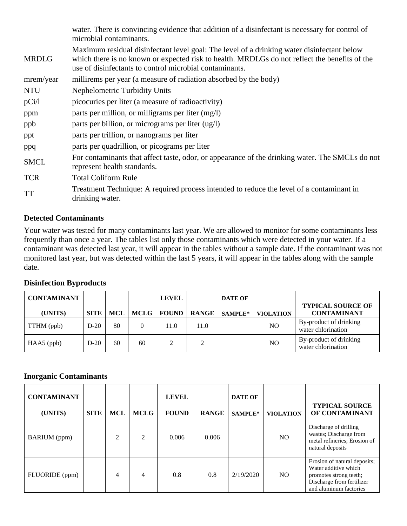|              | water. There is convincing evidence that addition of a disinfectant is necessary for control of<br>microbial contaminants.                                                                                                                             |
|--------------|--------------------------------------------------------------------------------------------------------------------------------------------------------------------------------------------------------------------------------------------------------|
| <b>MRDLG</b> | Maximum residual disinfectant level goal: The level of a drinking water disinfectant below<br>which there is no known or expected risk to health. MRDLGs do not reflect the benefits of the<br>use of disinfectants to control microbial contaminants. |
| mrem/year    | millirems per year (a measure of radiation absorbed by the body)                                                                                                                                                                                       |
| <b>NTU</b>   | Nephelometric Turbidity Units                                                                                                                                                                                                                          |
| pCi/1        | picocuries per liter (a measure of radioactivity)                                                                                                                                                                                                      |
| ppm          | parts per million, or milligrams per liter (mg/l)                                                                                                                                                                                                      |
| ppb          | parts per billion, or micrograms per liter (ug/l)                                                                                                                                                                                                      |
| ppt          | parts per trillion, or nanograms per liter                                                                                                                                                                                                             |
| ppq          | parts per quadrillion, or picograms per liter                                                                                                                                                                                                          |
| <b>SMCL</b>  | For contaminants that affect taste, odor, or appearance of the drinking water. The SMCLs do not<br>represent health standards.                                                                                                                         |
| <b>TCR</b>   | <b>Total Coliform Rule</b>                                                                                                                                                                                                                             |
| <b>TT</b>    | Treatment Technique: A required process intended to reduce the level of a contaminant in<br>drinking water.                                                                                                                                            |

### **Detected Contaminants**

Your water was tested for many contaminants last year. We are allowed to monitor for some contaminants less frequently than once a year. The tables list only those contaminants which were detected in your water. If a contaminant was detected last year, it will appear in the tables without a sample date. If the contaminant was not monitored last year, but was detected within the last 5 years, it will appear in the tables along with the sample date.

| Disinfection Byproducts |        |            |      |              |              |                |                  |                                              |  |  |
|-------------------------|--------|------------|------|--------------|--------------|----------------|------------------|----------------------------------------------|--|--|
| <b>CONTAMINANT</b>      |        |            |      | <b>LEVEL</b> |              | <b>DATE OF</b> |                  | <b>TYPICAL SOURCE OF</b>                     |  |  |
| (UNITS)                 | SITE 1 | <b>MCL</b> | MCLG | <b>FOUND</b> | <b>RANGE</b> | <b>SAMPLE*</b> | <b>VIOLATION</b> | <b>CONTAMINANT</b>                           |  |  |
| TTHM (ppb)              | $D-20$ | 80         |      | 11.0         | 11.0         |                | NO.              | By-product of drinking<br>water chlorination |  |  |
| $HAA5$ (ppb)            | $D-20$ | 60         | 60   | ↑            | 2            |                | NO.              | By-product of drinking<br>water chlorination |  |  |

# **Disinfection Byproducts**

### **Inorganic Contaminants**

| <b>CONTAMINANT</b><br>(UNITS) | <b>SITE</b> | <b>MCL</b>     | <b>MCLG</b>    | <b>LEVEL</b><br><b>FOUND</b> | <b>RANGE</b> | <b>DATE OF</b><br>SAMPLE* | <b>VIOLATION</b> | <b>TYPICAL SOURCE</b><br>OF CONTAMINANT                                                                                               |
|-------------------------------|-------------|----------------|----------------|------------------------------|--------------|---------------------------|------------------|---------------------------------------------------------------------------------------------------------------------------------------|
| <b>BARIUM</b> (ppm)           |             | $\mathfrak{D}$ | $\mathfrak{D}$ | 0.006                        | 0.006        |                           | N <sub>O</sub>   | Discharge of drilling<br>wastes; Discharge from<br>metal refineries; Erosion of<br>natural deposits                                   |
| FLUORIDE (ppm)                |             | 4              | 4              | 0.8                          | 0.8          | 2/19/2020                 | N <sub>O</sub>   | Erosion of natural deposits;<br>Water additive which<br>promotes strong teeth;<br>Discharge from fertilizer<br>and aluminum factories |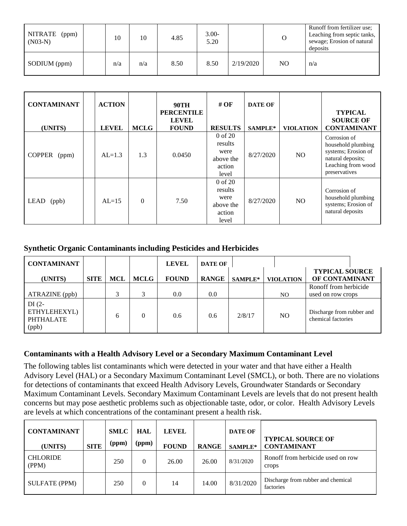| NITRATE (ppm)<br>$(N03-N)$ | 10  | 10  | 4.85 | $3.00-$<br>5.20 |           |    | Runoff from fertilizer use;<br>Leaching from septic tanks,<br>sewage; Erosion of natural<br>deposits |
|----------------------------|-----|-----|------|-----------------|-----------|----|------------------------------------------------------------------------------------------------------|
| SODIUM (ppm)               | n/a | n/a | 8.50 | 8.50            | 2/19/2020 | NO | n/a                                                                                                  |

| <b>CONTAMINANT</b>     | <b>ACTION</b> |             | <b>90TH</b><br><b>PERCENTILE</b><br><b>LEVEL</b> | # $\overline{OF}$                                              | <b>DATE OF</b> |                  | <b>TYPICAL</b><br><b>SOURCE OF</b>                                                                                    |
|------------------------|---------------|-------------|--------------------------------------------------|----------------------------------------------------------------|----------------|------------------|-----------------------------------------------------------------------------------------------------------------------|
| (UNITS)                | <b>LEVEL</b>  | <b>MCLG</b> | <b>FOUND</b>                                     | <b>RESULTS</b>                                                 | SAMPLE*        | <b>VIOLATION</b> | <b>CONTAMINANT</b>                                                                                                    |
| <b>COPPER</b><br>(ppm) | $AL=1.3$      | 1.3         | 0.0450                                           | $0$ of $20$<br>results<br>were<br>above the<br>action<br>level | 8/27/2020      | NO.              | Corrosion of<br>household plumbing<br>systems; Erosion of<br>natural deposits;<br>Leaching from wood<br>preservatives |
| LEAD<br>(ppb)          | $AL=15$       | $\Omega$    | 7.50                                             | $0$ of $20$<br>results<br>were<br>above the<br>action<br>level | 8/27/2020      | NO.              | Corrosion of<br>household plumbing<br>systems; Erosion of<br>natural deposits                                         |

### **Synthetic Organic Contaminants including Pesticides and Herbicides**

| <b>CONTAMINANT</b>                                   |             |     |             | <b>LEVEL</b> | <b>DATE OF</b> |         |                  |                                                 |
|------------------------------------------------------|-------------|-----|-------------|--------------|----------------|---------|------------------|-------------------------------------------------|
| (UNITS)                                              | <b>SITE</b> | MCL | <b>MCLG</b> | <b>FOUND</b> | <b>RANGE</b>   | SAMPLE* | <b>VIOLATION</b> | <b>TYPICAL SOURCE</b><br>OF CONTAMINANT         |
| ATRAZINE (ppb)                                       |             | 3   |             | 0.0          | 0.0            |         | N <sub>O</sub>   | Ronoff from herbicide<br>used on row crops      |
| $DI(2-$<br>ETHYLEHEXYL)<br><b>PHTHALATE</b><br>(ppb) |             | 6   |             | 0.6          | $0.6^{\circ}$  | 2/8/17  | N <sub>O</sub>   | Discharge from rubber and<br>chemical factories |

### **Contaminants with a Health Advisory Level or a Secondary Maximum Contaminant Level**

The following tables list contaminants which were detected in your water and that have either a Health Advisory Level (HAL) or a Secondary Maximum Contaminant Level (SMCL), or both. There are no violations for detections of contaminants that exceed Health Advisory Levels, Groundwater Standards or Secondary Maximum Contaminant Levels. Secondary Maximum Contaminant Levels are levels that do not present health concerns but may pose aesthetic problems such as objectionable taste, odor, or color. Health Advisory Levels are levels at which concentrations of the contaminant present a health risk.

| <b>CONTAMINANT</b><br>(UNITS) | <b>SITE</b> | <b>SMLC</b><br>(ppm) | HAL<br>(ppm) | <b>LEVEL</b><br><b>FOUND</b> | <b>RANGE</b> | <b>DATE OF</b><br>SAMPLE* | <b>TYPICAL SOURCE OF</b><br><b>CONTAMINANT</b>  |
|-------------------------------|-------------|----------------------|--------------|------------------------------|--------------|---------------------------|-------------------------------------------------|
| <b>CHLORIDE</b><br>(PPM)      |             | 250                  | $\Omega$     | 26.00                        | 26.00        | 8/31/2020                 | Ronoff from herbicide used on row<br>crops      |
| <b>SULFATE (PPM)</b>          |             | 250                  | $\theta$     | 14                           | 14.00        | 8/31/2020                 | Discharge from rubber and chemical<br>factories |